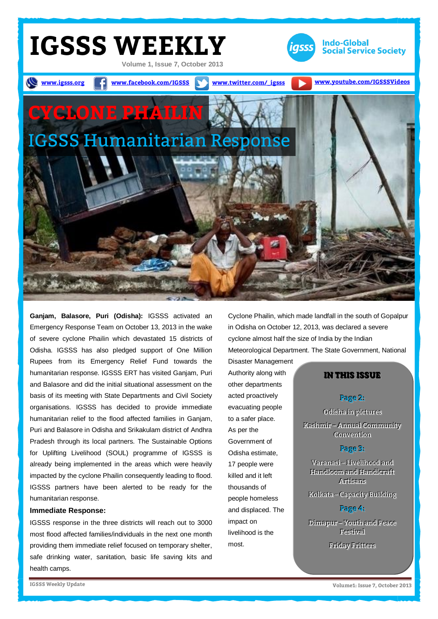

**Ganjam, Balasore, Puri (Odisha):** IGSSS activated an Emergency Response Team on October 13, 2013 in the wake of severe cyclone Phailin which devastated 15 districts of Odisha. IGSSS has also pledged support of One Million Rupees from its Emergency Relief Fund towards the humanitarian response. IGSSS ERT has visited Ganjam, Puri and Balasore and did the initial situational assessment on the basis of its meeting with State Departments and Civil Society organisations. IGSSS has decided to provide immediate humanitarian relief to the flood affected families in Ganjam, Puri and Balasore in Odisha and Srikakulam district of Andhra Pradesh through its local partners. The Sustainable Options for Uplifting Livelihood (SOUL) programme of IGSSS is already being implemented in the areas which were heavily impacted by the cyclone Phailin consequently leading to flood. IGSSS partners have been alerted to be ready for the humanitarian response.

#### **Immediate Response:**

IGSSS response in the three districts will reach out to 3000 most flood affected families/individuals in the next one month providing them immediate relief focused on temporary shelter, safe drinking water, sanitation, basic life saving kits and health camps.

Cyclone Phailin, which made landfall in the south of Gopalpur in Odisha on October 12, 2013, was declared a severe cyclone almost half the size of India by the Indian Meteorological Department. The State Government, National

Disaster Management Authority along with other departments acted proactively evacuating people to a safer place. As per the Government of Odisha estimate, 17 people were killed and it left thousands of people homeless and displaced. The impact on livelihood is the most.

### **IN THIS ISSUE**

### Page 2:

Odisha in pictures Kashmir – Annual Community Convention

### Page 3:

Varanasi – Livelihood and Handloom and Handicraft Artisans

Kolkata - Capacity Building

### Page 4:

Dimapur – Youth and Peace Festival

Friday Fritters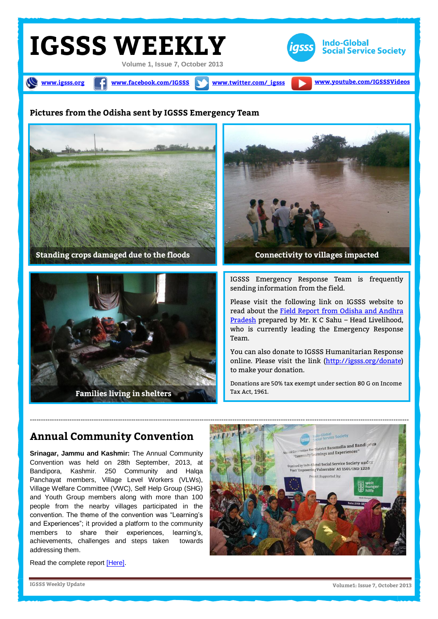

### **Pictures from the Odisha sent by IGSSS Emergency Team**



----------------------------------------------------------------------------------------------------------------------------------------------------------------------------

**Families living in shelters**

read about the [Field Report from Odisha and Andhra](http://igsss.org/newsevents/phailin-field-report-from-odisha-and-andhra-pradesh)  who is currently leading the Emergency Response

online. Please visit the link [\(http://igsss.org/donate\)](http://igsss.org/donate)

Donations are 50% tax exempt under section 80 G on Income Tax Act, 1961.

## **Annual Community Convention**

**Srinagar, Jammu and Kashmir:** The Annual Community Convention was held on 28th September, 2013, at Bandipora, Kashmir. 250 Community and Halqa Panchayat members, Village Level Workers (VLWs), Village Welfare Committee (VWC), Self Help Group (SHG) and Youth Group members along with more than 100 people from the nearby villages participated in the convention. The theme of the convention was "Learning's and Experiences"; it provided a platform to the community members to share their experiences, learning's, achievements, challenges and steps taken towards addressing them.



Read the complete repor[t \[Here\].](http://igsss.org/newsevents/annual-community-convention-kashmir)

**IGSSS Weekly Update Volume1: Issue 7, October 2013**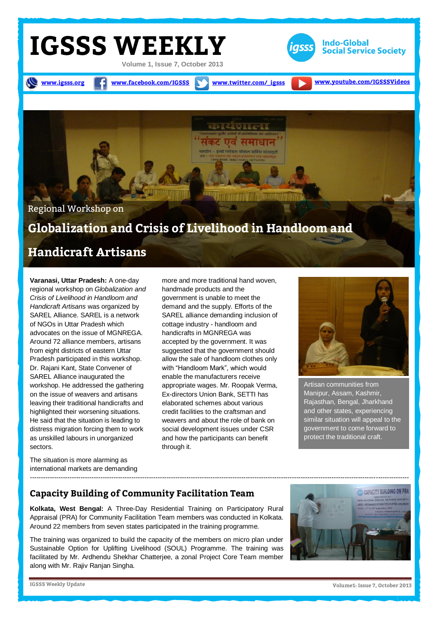

# **Globalization and Crisis of Livelihood in Handloom and**

# **Handicraft Artisans**

**Varanasi, Uttar Pradesh:** A one-day regional workshop on *Globalization and Crisis of Livelihood in Handloom and Handicraft Artisans* was organized by SAREL Alliance. SAREL is a network of NGOs in Uttar Pradesh which advocates on the issue of MGNREGA. Around 72 alliance members, artisans from eight districts of eastern Uttar Pradesh participated in this workshop. Dr. Rajani Kant, State Convener of SAREL Alliance inaugurated the workshop. He addressed the gathering on the issue of weavers and artisans leaving their traditional handicrafts and highlighted their worsening situations. He said that the situation is leading to distress migration forcing them to work as unskilled labours in unorganized sectors.

The situation is more alarming as international markets are demanding more and more traditional hand woven, handmade products and the government is unable to meet the demand and the supply. Efforts of the SAREL alliance demanding inclusion of cottage industry - handloom and handicrafts in MGNREGA was accepted by the government. It was suggested that the government should allow the sale of handloom clothes only with "Handloom Mark", which would enable the manufacturers receive appropriate wages. Mr. Roopak Verma, Ex-directors Union Bank, SETTI has elaborated schemes about various credit facilities to the craftsman and weavers and about the role of bank on social development issues under CSR and how the participants can benefit through it.

----------------------------------------------------------------------------------------------------------------------------------------------------------------------------



Artisan communities from Manipur, Assam, Kashmir, Rajasthan, Bengal, Jharkhand and other states, experiencing similar situation will appeal to the government to come forward to protect the traditional craft.

### **Capacity Building of Community Facilitation Team**

**Kolkata, West Bengal:** A Three-Day Residential Training on Participatory Rural Appraisal (PRA) for Community Facilitation Team members was conducted in Kolkata. Around 22 members from seven states participated in the training programme.

The training was organized to build the capacity of the members on micro plan under Sustainable Option for Uplifting Livelihood (SOUL) Programme. The training was facilitated by Mr. Ardhendu Shekhar Chatterjee, a zonal Project Core Team member along with Mr. Rajiv Ranjan Singha.